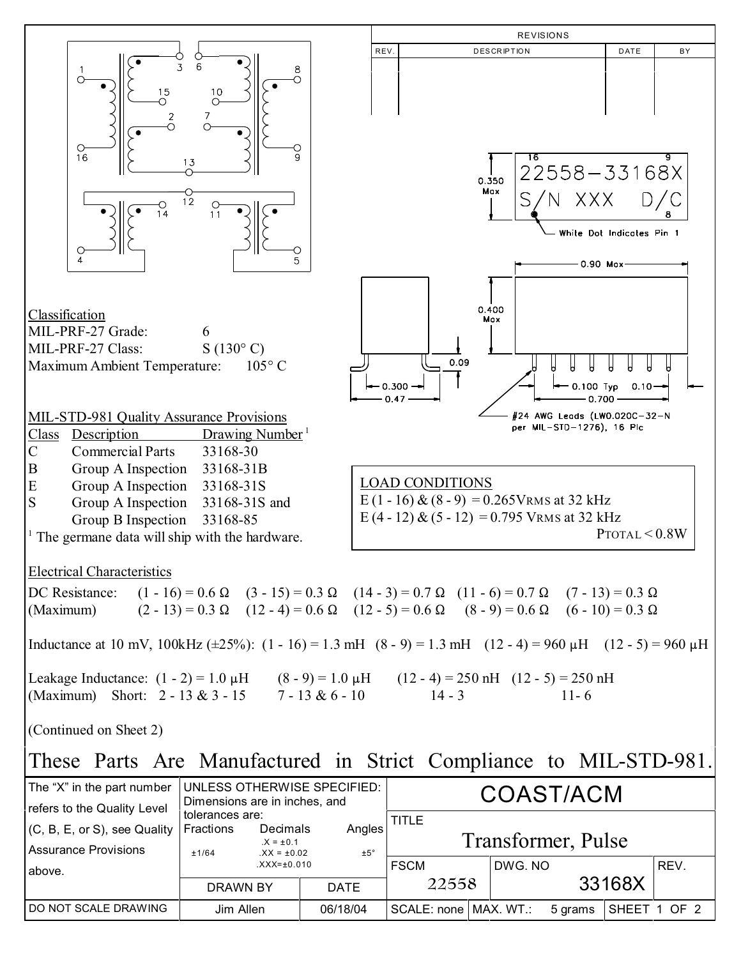